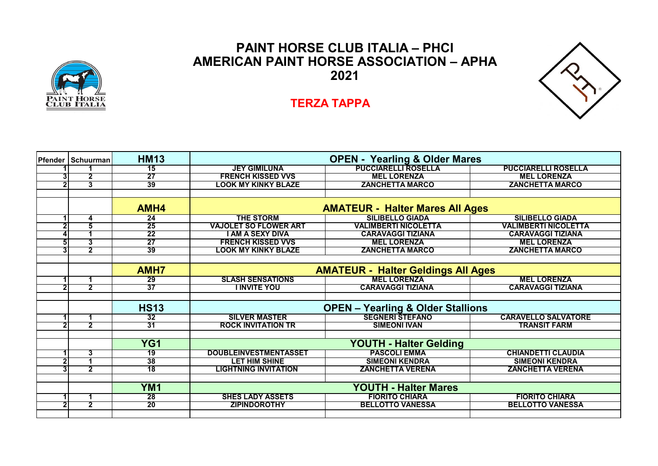

## **PAINT HORSE CLUB ITALIA – PHCI AMERICAN PAINT HORSE ASSOCIATION – APHA 2021**



## **TERZA TAPPA**

| <b>Pfender   Schuurman</b> | <b>HM13</b>     | <b>OPEN - Yearling &amp; Older Mares</b>     |                             |                             |  |  |
|----------------------------|-----------------|----------------------------------------------|-----------------------------|-----------------------------|--|--|
|                            | $\overline{15}$ | <b>JEY GIMILUNA</b>                          | <b>PUCCIARELLI ROSELLA</b>  | <b>PUCCIARELLI ROSELLA</b>  |  |  |
| 2                          | 27              | <b>FRENCH KISSED VVS</b>                     | <b>MEL LORENZA</b>          | <b>MEL LORENZA</b>          |  |  |
| 3                          | 39              | LOOK MY KINKY BLAZE                          | <b>ZANCHETTA MARCO</b>      | <b>ZANCHETTA MARCO</b>      |  |  |
|                            |                 |                                              |                             |                             |  |  |
|                            | AMH4            | <b>AMATEUR - Halter Mares All Ages</b>       |                             |                             |  |  |
| 4                          | $\overline{24}$ | <b>THE STORM</b>                             | <b>SILIBELLO GIADA</b>      | <b>SILIBELLO GIADA</b>      |  |  |
| 5                          | 25              | <b>VAJOLET SO FLOWER ART</b>                 | <b>VALIMBERTI NICOLETTA</b> | <b>VALIMBERTI NICOLETTA</b> |  |  |
|                            | $\overline{22}$ | I AM A SEXY DIVA                             | <b>CARAVAGGI TIZIANA</b>    | <b>CARAVAGGI TIZIANA</b>    |  |  |
| 3                          | 27              | <b>FRENCH KISSED VVS</b>                     | <b>MEL LORENZA</b>          | <b>MEL LORENZA</b>          |  |  |
| $\overline{2}$             | 39              | LOOK MY KINKY BLAZE                          | <b>ZANCHETTA MARCO</b>      | <b>ZANCHETTA MARCO</b>      |  |  |
|                            |                 |                                              |                             |                             |  |  |
|                            | <b>AMH7</b>     | <b>AMATEUR - Halter Geldings All Ages</b>    |                             |                             |  |  |
| 1.                         | 29              | <b>SLASH SENSATIONS</b>                      | <b>MEL LORENZA</b>          | <b>MEL LORENZA</b>          |  |  |
| $\overline{2}$             | 37              | <b>I INVITE YOU</b>                          | <b>CARAVAGGI TIZIANA</b>    | <b>CARAVAGGI TIZIANA</b>    |  |  |
|                            |                 |                                              |                             |                             |  |  |
|                            | <b>HS13</b>     | <b>OPEN - Yearling &amp; Older Stallions</b> |                             |                             |  |  |
| 1                          | 32              | <b>SILVER MASTER</b>                         | <b>SEGNERI STEFANO</b>      | <b>CARAVELLO SALVATORE</b>  |  |  |
| $\overline{2}$             | 31              | <b>ROCK INVITATION TR</b>                    | <b>SIMEONI IVAN</b>         | <b>TRANSIT FARM</b>         |  |  |
|                            |                 |                                              |                             |                             |  |  |
|                            | YG1             | <b>YOUTH - Halter Gelding</b>                |                             |                             |  |  |
| 3                          | 19              | <b>DOUBLEINVESTMENTASSET</b>                 | <b>PASCOLI EMMA</b>         | <b>CHIANDETTI CLAUDIA</b>   |  |  |
|                            | 38              | <b>LET HIM SHINE</b>                         | <b>SIMEONI KENDRA</b>       | <b>SIMEONI KENDRA</b>       |  |  |
| 2                          | 18              | <b>LIGHTNING INVITATION</b>                  | <b>ZANCHETTA VERENA</b>     | <b>ZANCHETTA VERENA</b>     |  |  |
|                            |                 |                                              |                             |                             |  |  |
|                            | YM <sub>1</sub> | <b>YOUTH - Halter Mares</b>                  |                             |                             |  |  |
| 1                          | 28              | <b>SHES LADY ASSETS</b>                      | <b>FIORITO CHIARA</b>       | <b>FIORITO CHIARA</b>       |  |  |
| $\overline{2}$             | 20              | <b>ZIPINDOROTHY</b>                          | <b>BELLOTTO VANESSA</b>     | <b>BELLOTTO VANESSA</b>     |  |  |
|                            |                 |                                              |                             |                             |  |  |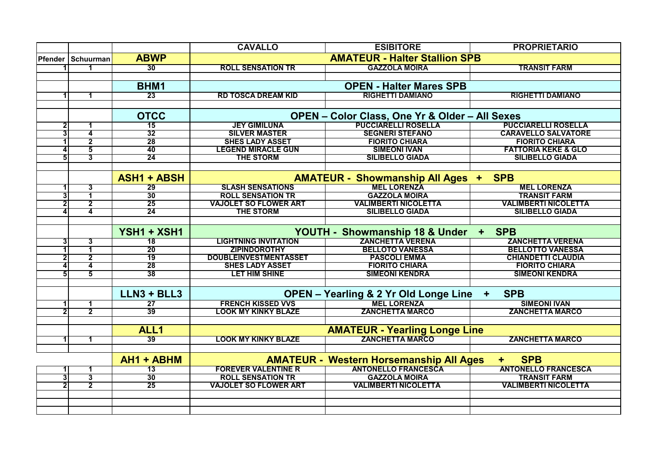|   |                            |                    | <b>CAVALLO</b>                                                     | <b>ESIBITORE</b>                               | <b>PROPRIETARIO</b>            |
|---|----------------------------|--------------------|--------------------------------------------------------------------|------------------------------------------------|--------------------------------|
|   | <b>Pfender   Schuurman</b> | <b>ABWP</b>        | <b>AMATEUR - Halter Stallion SPB</b>                               |                                                |                                |
|   |                            | 30                 | <b>ROLL SENSATION TR</b>                                           | <b>GAZZOLA MOIRA</b>                           | <b>TRANSIT FARM</b>            |
|   |                            |                    |                                                                    |                                                |                                |
|   |                            | BHM1               | <b>OPEN - Halter Mares SPB</b>                                     |                                                |                                |
|   |                            | 23                 | <b>RD TOSCA DREAM KID</b>                                          | <b>RIGHETTI DAMIANO</b>                        | <b>RIGHETTI DAMIANO</b>        |
|   |                            |                    |                                                                    |                                                |                                |
|   |                            | <b>OTCC</b>        |                                                                    | OPEN - Color Class, One Yr & Older - All Sexes |                                |
| 2 |                            | 15                 | <b>JEY GIMILUNA</b>                                                | <b>PUCCIARELLI ROSELLA</b>                     | <b>PUCCIARELLI ROSELLA</b>     |
|   | 4                          | 32                 | <b>SILVER MASTER</b>                                               | <b>SEGNERI STEFANO</b>                         | <b>CARAVELLO SALVATORE</b>     |
|   | 2                          | 28                 | <b>SHES LADY ASSET</b>                                             | <b>FIORITO CHIARA</b>                          | <b>FIORITO CHIARA</b>          |
|   | 5                          | 40                 | <b>LEGEND MIRACLE GUN</b>                                          | <b>SIMEONI IVAN</b>                            | <b>FATTORIA KEKE &amp; GLO</b> |
| 5 | 3                          | 24                 | <b>THE STORM</b>                                                   | <b>SILIBELLO GIADA</b>                         | <b>SILIBELLO GIADA</b>         |
|   |                            |                    |                                                                    |                                                |                                |
|   |                            | <b>ASH1 + ABSH</b> | <b>AMATEUR - Showmanship All Ages +</b><br><b>SPB</b>              |                                                |                                |
|   | 3                          | $\overline{29}$    | <b>SLASH SENSATIONS</b>                                            | <b>MEL LORENZA</b>                             | <b>MEL LORENZA</b>             |
| 3 | 1                          | 30                 | <b>ROLL SENSATION TR</b>                                           | <b>GAZZOLA MOIRA</b>                           | <b>TRANSIT FARM</b>            |
| 2 | $\overline{2}$             | 25                 | <b>VAJOLET SO FLOWER ART</b>                                       | <b>VALIMBERTI NICOLETTA</b>                    | <b>VALIMBERTI NICOLETTA</b>    |
|   | 4                          | 24                 | <b>THE STORM</b>                                                   | <b>SILIBELLO GIADA</b>                         | <b>SILIBELLO GIADA</b>         |
|   |                            |                    |                                                                    |                                                |                                |
|   |                            | YSH1 + XSH1        | YOUTH - Showmanship 18 & Under                                     |                                                | <b>SPB</b><br>$+$              |
| 3 | 3                          | $\overline{18}$    | <b>LIGHTNING INVITATION</b>                                        | <b>ZANCHETTA VERENA</b>                        | <b>ZANCHETTA VERENA</b>        |
|   | 1                          | 20                 | <b>ZIPINDOROTHY</b>                                                | <b>BELLOTO VANESSA</b>                         | <b>BELLOTTO VANESSA</b>        |
|   | 2                          | 19                 | <b>DOUBLEINVESTMENTASSET</b>                                       | <b>PASCOLI EMMA</b>                            | <b>CHIANDETTI CLAUDIA</b>      |
|   | 4                          | 28                 | <b>SHES LADY ASSET</b>                                             | <b>FIORITO CHIARA</b>                          | <b>FIORITO CHIARA</b>          |
|   | 5                          | 38                 | <b>LET HIM SHINE</b>                                               | <b>SIMEONI KENDRA</b>                          | <b>SIMEONI KENDRA</b>          |
|   |                            |                    |                                                                    |                                                |                                |
|   |                            | $LLN3 + BLL3$      | <b>OPEN - Yearling &amp; 2 Yr Old Longe Line</b><br>÷              |                                                | <b>SPB</b>                     |
| 1 | 1                          | $\overline{27}$    | <b>FRENCH KISSED VVS</b>                                           | <b>MEL LORENZA</b>                             | <b>SIMEONI IVAN</b>            |
|   | 2                          | 39                 | <b>LOOK MY KINKY BLAZE</b>                                         | <b>ZANCHETTA MARCO</b>                         | <b>ZANCHETTA MARCO</b>         |
|   |                            |                    |                                                                    |                                                |                                |
|   |                            | ALL <sub>1</sub>   | <b>AMATEUR - Yearling Longe Line</b>                               |                                                |                                |
|   |                            | $\overline{39}$    | <b>LOOK MY KINKY BLAZE</b>                                         | <b>ZANCHETTA MARCO</b>                         | <b>ZANCHETTA MARCO</b>         |
|   |                            |                    |                                                                    |                                                |                                |
|   |                            | AH1 + ABHM         | <b>AMATEUR - Western Horsemanship All Ages</b><br><b>SPB</b><br>÷. |                                                |                                |
|   | 1                          | $\overline{13}$    | <b>FOREVER VALENTINE R</b>                                         | <b>ANTONELLO FRANCESCA</b>                     | <b>ANTONELLO FRANCESCA</b>     |
|   | 3                          | 30                 | <b>ROLL SENSATION TR</b>                                           | <b>GAZZOLA MOIRA</b>                           | <b>TRANSIT FARM</b>            |
|   | $\overline{\mathbf{2}}$    | 25                 | <b>VAJOLET SO FLOWER ART</b>                                       | <b>VALIMBERTI NICOLETTA</b>                    | <b>VALIMBERTI NICOLETTA</b>    |
|   |                            |                    |                                                                    |                                                |                                |
|   |                            |                    |                                                                    |                                                |                                |
|   |                            |                    |                                                                    |                                                |                                |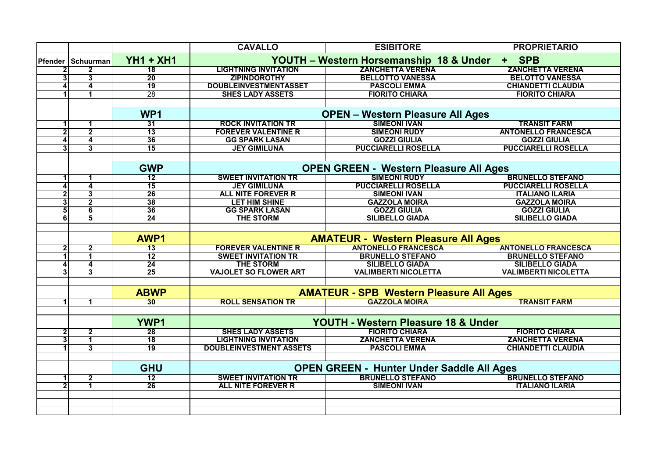|                |                         |                  | <b>CAVALLO</b>                                                 | <b>ESIBITORE</b>                               | <b>PROPRIETARIO</b>         |  |
|----------------|-------------------------|------------------|----------------------------------------------------------------|------------------------------------------------|-----------------------------|--|
| Pfender        | Schuurman               | <b>YH1 + XH1</b> | YOUTH - Western Horsemanship 18 & Under<br><b>SPB</b><br>$\pm$ |                                                |                             |  |
|                | $\overline{\mathbf{2}}$ | $\overline{18}$  | <b>LIGHTNING INVITATION</b>                                    | <b>ZANCHETTA VERENA</b>                        | <b>ZANCHETTA VERENA</b>     |  |
|                | 3                       | 20               | <b>ZIPINDOROTHY</b>                                            | <b>BELLOTTO VANESSA</b>                        | <b>BELOTTO VANESSA</b>      |  |
| 4              | 4                       | 19               | <b>DOUBLEINVESTMENTASSET</b>                                   | <b>PASCOLI EMMA</b>                            | <b>CHIANDETTI CLAUDIA</b>   |  |
|                | 1                       | 28               | <b>SHES LADY ASSETS</b>                                        | <b>FIORITO CHIARA</b>                          | <b>FIORITO CHIARA</b>       |  |
|                |                         |                  |                                                                |                                                |                             |  |
|                |                         | WP1              | <b>OPEN - Western Pleasure All Ages</b>                        |                                                |                             |  |
|                | 1                       | 31               | <b>ROCK INVITATION TR</b>                                      | <b>SIMEONI IVAN</b>                            | <b>TRANSIT FARM</b>         |  |
|                | $\overline{\mathbf{2}}$ | $\overline{13}$  | <b>FOREVER VALENTINE R</b>                                     | <b>SIMEONI RUDY</b>                            | <b>ANTONELLO FRANCESCA</b>  |  |
|                | 4                       | 36               | <b>GG SPARK LASAN</b>                                          | <b>GOZZI GIULIA</b>                            | <b>GOZZI GIULIA</b>         |  |
|                | $\overline{3}$          | 15               | <b>JEY GIMILUNA</b>                                            | <b>PUCCIARELLI ROSELLA</b>                     | <b>PUCCIARELLI ROSELLA</b>  |  |
|                |                         |                  |                                                                |                                                |                             |  |
|                |                         | <b>GWP</b>       | <b>OPEN GREEN - Western Pleasure All Ages</b>                  |                                                |                             |  |
|                | 1                       | <u> 12</u>       | <b>SWEET INVITATION TR</b>                                     | <b>SIMEONI RUDY</b>                            | <b>BRUNELLO STEFANO</b>     |  |
| 4              | 4                       | $\overline{15}$  | <b>JEY GIMILUNA</b>                                            | <b>PUCCIARELLI ROSELLA</b>                     | <b>PUCCIARELLI ROSELLA</b>  |  |
|                | 3                       | 26               | <b>ALL NITE FOREVER R</b>                                      | <b>SIMEONI IVAN</b>                            | <b>ITALIANO ILARIA</b>      |  |
| 3              | $\overline{2}$          | 38               | <b>LET HIM SHINE</b>                                           | <b>GAZZOLA MOIRA</b>                           | <b>GAZZOLA MOIRA</b>        |  |
| 51             | 6                       | 36               | <b>GG SPARK LASAN</b>                                          | <b>GOZZI GIULIA</b>                            | <b>GOZZI GIULIA</b>         |  |
| 6              | 5                       | 24               | <b>THE STORM</b>                                               | <b>SILIBELLO GIADA</b>                         | <b>SILIBELLO GIADA</b>      |  |
|                |                         |                  |                                                                |                                                |                             |  |
|                |                         | AWP1             | <b>AMATEUR - Western Pleasure All Ages</b>                     |                                                |                             |  |
| $\overline{2}$ | $\overline{\mathbf{2}}$ | $\overline{13}$  | <b>FOREVER VALENTINE R</b>                                     | <b>ANTONELLO FRANCESCA</b>                     | <b>ANTONELLO FRANCESCA</b>  |  |
|                | 1                       | 12               | <b>SWEET INVITATION TR</b>                                     | <b>BRUNELLO STEFANO</b>                        | <b>BRUNELLO STEFANO</b>     |  |
|                | 4                       | 24               | <b>THE STORM</b>                                               | <b>SILIBELLO GIADA</b>                         | <b>SILIBELLO GIADA</b>      |  |
|                | 3                       | 25               | <b>VAJOLET SO FLOWER ART</b>                                   | <b>VALIMBERTI NICOLETTA</b>                    | <b>VALIMBERTI NICOLETTA</b> |  |
|                |                         |                  |                                                                |                                                |                             |  |
|                |                         | <b>ABWP</b>      |                                                                | <b>AMATEUR - SPB Western Pleasure All Ages</b> |                             |  |
|                | 1                       | 30               | <b>ROLL SENSATION TR</b>                                       | <b>GAZZOLA MOIRA</b>                           | <b>TRANSIT FARM</b>         |  |
|                |                         |                  |                                                                |                                                |                             |  |
|                |                         | <b>YWP1</b>      | YOUTH - Western Pleasure 18 & Under                            |                                                |                             |  |
|                | 2                       | 28               | <b>SHES LADY ASSETS</b>                                        | <b>FIORITO CHIARA</b>                          | <b>FIORITO CHIARA</b>       |  |
|                | 1                       | $\overline{18}$  | <b>LIGHTNING INVITATION</b>                                    | <b>ZANCHETTA VERENA</b>                        | <b>ZANCHETTA VERENA</b>     |  |
|                | 3                       | 19               | <b>DOUBLEINVESTMENT ASSETS</b>                                 | <b>PASCOLI EMMA</b>                            | <b>CHIANDETTI CLAUDIA</b>   |  |
|                |                         |                  |                                                                |                                                |                             |  |
|                |                         | <b>GHU</b>       | <b>OPEN GREEN - Hunter Under Saddle All Ages</b>               |                                                |                             |  |
|                | $\overline{2}$          | $\overline{12}$  | <b>SWEET INVITATION TR</b>                                     | <b>BRUNELLO STEFANO</b>                        | <b>BRUNELLO STEFANO</b>     |  |
|                | 1                       | 26               | <b>ALL NITE FOREVER R</b>                                      | <b>SIMEONI IVAN</b>                            | <b>ITALIANO ILARIA</b>      |  |
|                |                         |                  |                                                                |                                                |                             |  |
|                |                         |                  |                                                                |                                                |                             |  |
|                |                         |                  |                                                                |                                                |                             |  |